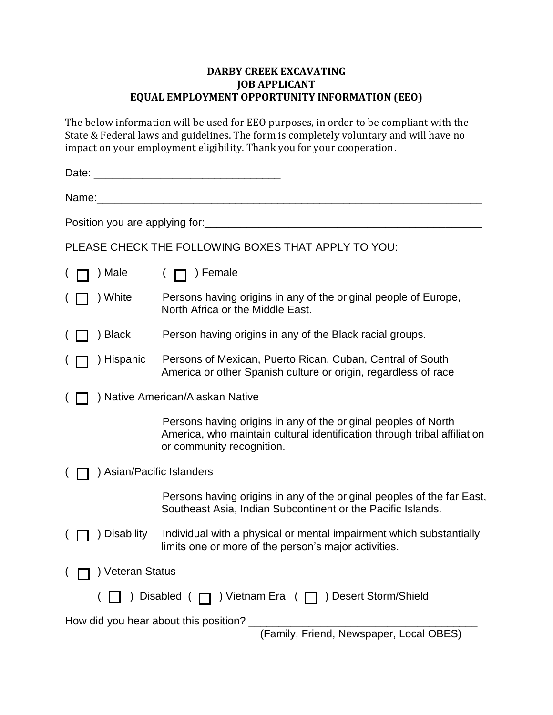## **DARBY CREEK EXCAVATING JOB APPLICANT EQUAL EMPLOYMENT OPPORTUNITY INFORMATION (EEO)**

The below information will be used for EEO purposes, in order to be compliant with the State & Federal laws and guidelines. The form is completely voluntary and will have no impact on your employment eligibility. Thank you for your cooperation.

| Date:                                                                            |                                  |                                                                                                                                                                         |  |  |  |  |
|----------------------------------------------------------------------------------|----------------------------------|-------------------------------------------------------------------------------------------------------------------------------------------------------------------------|--|--|--|--|
| Name:                                                                            |                                  |                                                                                                                                                                         |  |  |  |  |
| Position you are applying for:                                                   |                                  |                                                                                                                                                                         |  |  |  |  |
| PLEASE CHECK THE FOLLOWING BOXES THAT APPLY TO YOU:                              |                                  |                                                                                                                                                                         |  |  |  |  |
|                                                                                  | ) Male                           | ) Female                                                                                                                                                                |  |  |  |  |
|                                                                                  | ) White                          | Persons having origins in any of the original people of Europe,<br>North Africa or the Middle East.                                                                     |  |  |  |  |
|                                                                                  | ) Black                          | Person having origins in any of the Black racial groups.                                                                                                                |  |  |  |  |
|                                                                                  | ) Hispanic                       | Persons of Mexican, Puerto Rican, Cuban, Central of South<br>America or other Spanish culture or origin, regardless of race                                             |  |  |  |  |
|                                                                                  | ) Native American/Alaskan Native |                                                                                                                                                                         |  |  |  |  |
|                                                                                  |                                  | Persons having origins in any of the original peoples of North<br>America, who maintain cultural identification through tribal affiliation<br>or community recognition. |  |  |  |  |
| ) Asian/Pacific Islanders                                                        |                                  |                                                                                                                                                                         |  |  |  |  |
|                                                                                  |                                  | Persons having origins in any of the original peoples of the far East,<br>Southeast Asia, Indian Subcontinent or the Pacific Islands.                                   |  |  |  |  |
|                                                                                  | ) Disability                     | Individual with a physical or mental impairment which substantially<br>limits one or more of the person's major activities.                                             |  |  |  |  |
|                                                                                  | ) Veteran Status                 |                                                                                                                                                                         |  |  |  |  |
|                                                                                  |                                  | ) Disabled ( □ ) Vietnam Era ( □ ) Desert Storm/Shield                                                                                                                  |  |  |  |  |
| How did you hear about this position?<br>(Family, Friend, Newspaper, Local OBES) |                                  |                                                                                                                                                                         |  |  |  |  |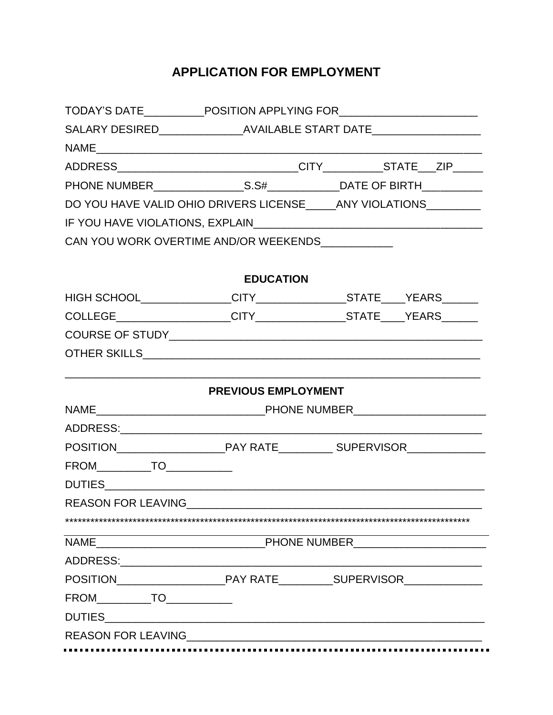## **APPLICATION FOR EMPLOYMENT**

|                                  | DO YOU HAVE VALID OHIO DRIVERS LICENSE _____ ANY VIOLATIONS _________ |  |  |  |  |  |
|----------------------------------|-----------------------------------------------------------------------|--|--|--|--|--|
|                                  |                                                                       |  |  |  |  |  |
|                                  | CAN YOU WORK OVERTIME AND/OR WEEKENDS____________                     |  |  |  |  |  |
|                                  |                                                                       |  |  |  |  |  |
|                                  | <b>EDUCATION</b>                                                      |  |  |  |  |  |
|                                  |                                                                       |  |  |  |  |  |
|                                  |                                                                       |  |  |  |  |  |
|                                  |                                                                       |  |  |  |  |  |
|                                  |                                                                       |  |  |  |  |  |
|                                  | <b>PREVIOUS EMPLOYMENT</b>                                            |  |  |  |  |  |
|                                  |                                                                       |  |  |  |  |  |
|                                  |                                                                       |  |  |  |  |  |
|                                  |                                                                       |  |  |  |  |  |
| FROM____________TO______________ |                                                                       |  |  |  |  |  |
|                                  |                                                                       |  |  |  |  |  |
| REASON FOR LEAVING__________     |                                                                       |  |  |  |  |  |
|                                  |                                                                       |  |  |  |  |  |
|                                  |                                                                       |  |  |  |  |  |
|                                  |                                                                       |  |  |  |  |  |
|                                  |                                                                       |  |  |  |  |  |
| FROM____________TO_____________  |                                                                       |  |  |  |  |  |
|                                  |                                                                       |  |  |  |  |  |
|                                  |                                                                       |  |  |  |  |  |
|                                  |                                                                       |  |  |  |  |  |